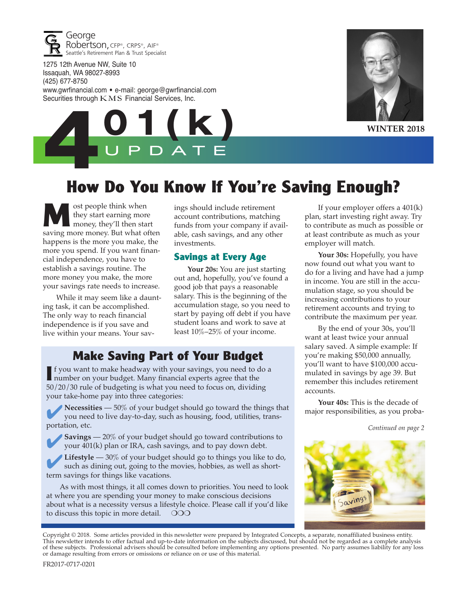

1275 12th Avenue NW, Suite 10 Issaquah, WA 98027-8993 (425) 677-8750 www.gwrfinancial.com • e-mail: george@gwrfinancial.com Securities through  $KMS$  Financial Services, Inc.





**WINTER 2018**

## **How Do You Know If You're Saving Enough?**

**M** ost people think when<br>they start earning more<br>money, they'll then start they start earning more saving more money. But what often happens is the more you make, the more you spend. If you want financial independence, you have to establish a savings routine. The more money you make, the more your savings rate needs to increase.

While it may seem like a daunting task, it can be accomplished. The only way to reach financial independence is if you save and live within your means. Your savings should include retirement account contributions, matching funds from your company if available, cash savings, and any other investments.

#### **Savings at Every Age**

**Your 20s:** You are just starting out and, hopefully, you've found a good job that pays a reasonable salary. This is the beginning of the accumulation stage, so you need to start by paying off debt if you have student loans and work to save at least 10%–25% of your income.

#### **Make Saving Part of Your Budget**

**I** f you want to make headway with your savings, you need to do a number on your budget. Many financial experts agree that the 50/20/30 rule of budgeting is what you need to focus on, dividing your take-home pay into three categories:

**Necessities** — 50% of your budget should go toward the things that you need to live day-to-day, such as housing, food, utilities, transportation, etc.

**Savings** — 20% of your budget should go toward contributions to your 401(k) plan or IRA, cash savings, and to pay down debt.

**Lifestyle** — 30% of your budget should go to things you like to do, such as dining out, going to the movies, hobbies, as well as shortterm savings for things like vacations.

As with most things, it all comes down to priorities. You need to look at where you are spending your money to make conscious decisions about what is a necessity versus a lifestyle choice. Please call if you'd like to discuss this topic in more detail.  $\circ$  OOO

If your employer offers a 401(k) plan, start investing right away. Try to contribute as much as possible or at least contribute as much as your employer will match.

**Your 30s:** Hopefully, you have now found out what you want to do for a living and have had a jump in income. You are still in the accumulation stage, so you should be increasing contributions to your retirement accounts and trying to contribute the maximum per year.

By the end of your 30s, you'll want at least twice your annual salary saved. A simple example: If you're making \$50,000 annually, you'll want to have \$100,000 accumulated in savings by age 39. But remember this includes retirement accounts.

**Your 40s:** This is the decade of major responsibilities, as you proba-

*Continued on page 2*



Copyright © 2018. Some articles provided in this newsletter were prepared by Integrated Concepts, a separate, nonaffiliated business entity. This newsletter intends to offer factual and up-to-date information on the subjects discussed, but should not be regarded as a complete analysis of these subjects. Professional advisers should be consulted before implementing any options presented. No party assumes liability for any loss or damage resulting from errors or omissions or reliance on or use of this material.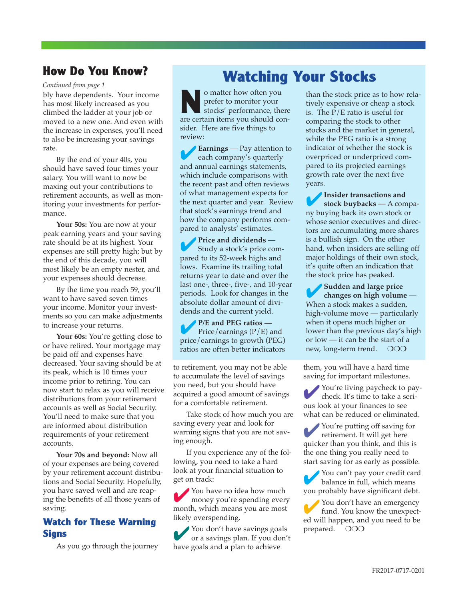#### **How Do You Know?**

bly have dependents. Your income has most likely increased as you climbed the ladder at your job or moved to a new one. And even with the increase in expenses, you'll need to also be increasing your savings rate.

By the end of your 40s, you should have saved four times your salary. You will want to now be maxing out your contributions to retirement accounts, as well as monitoring your investments for performance.

**Your 50s:** You are now at your peak earning years and your saving rate should be at its highest. Your expenses are still pretty high; but by the end of this decade, you will most likely be an empty nester, and your expenses should decrease.

By the time you reach 59, you'll want to have saved seven times your income. Monitor your investments so you can make adjustments to increase your returns.

**Your 60s:** You're getting close to or have retired. Your mortgage may be paid off and expenses have decreased. Your saving should be at its peak, which is 10 times your income prior to retiring. You can now start to relax as you will receive distributions from your retirement accounts as well as Social Security. You'll need to make sure that you are informed about distribution requirements of your retirement accounts.

**Your 70s and beyond:** Now all of your expenses are being covered by your retirement account distributions and Social Security. Hopefully, you have saved well and are reaping the benefits of all those years of saving.

#### **Watch for These Warning Signs**

As you go through the journey

# *Continued from page 1* **Watching Your Stocks**

**NO matter how often you**<br>prefer to monitor your<br>stocks' performance, there prefer to monitor your are certain items you should consider. Here are five things to review:

4**Earnings** — Pay attention to each company's quarterly and annual earnings statements, which include comparisons with the recent past and often reviews of what management expects for the next quarter and year. Review that stock's earnings trend and how the company performs compared to analysts' estimates.

**Price and dividends** — Study a stock's price compared to its 52-week highs and lows. Examine its trailing total returns year to date and over the last one-, three-, five-, and 10-year periods. Look for changes in the absolute dollar amount of dividends and the current yield.

4**P/E and PEG ratios** — Price/earnings  $(P/E)$  and price/earnings to growth (PEG) ratios are often better indicators

to retirement, you may not be able to accumulate the level of savings you need, but you should have acquired a good amount of savings for a comfortable retirement.

Take stock of how much you are saving every year and look for warning signs that you are not saving enough.

If you experience any of the following, you need to take a hard look at your financial situation to get on track:

You have no idea how much money you're spending every month, which means you are most likely overspending.

4You don't have savings goals or a savings plan. If you don't have goals and a plan to achieve

than the stock price as to how relatively expensive or cheap a stock is. The P/E ratio is useful for comparing the stock to other stocks and the market in general, while the PEG ratio is a strong indicator of whether the stock is overpriced or underpriced compared to its projected earnings growth rate over the next five years.

4**Insider transactions and stock buybacks** — A company buying back its own stock or whose senior executives and directors are accumulating more shares is a bullish sign. On the other hand, when insiders are selling off major holdings of their own stock, it's quite often an indication that the stock price has peaked.

4**Sudden and large price changes on high volume** — When a stock makes a sudden, high-volume move — particularly when it opens much higher or lower than the previous day's high or low — it can be the start of a new, long-term trend. OOO

them, you will have a hard time saving for important milestones.

You're living paycheck to pay-<br>check. It's time to take a serious look at your finances to see what can be reduced or eliminated.

You're putting off saving for retirement. It will get here quicker than you think, and this is the one thing you really need to start saving for as early as possible.

You can't pay your credit card balance in full, which means you probably have significant debt.

You don't have an emergency fund. You know the unexpected will happen, and you need to be prepared. OOO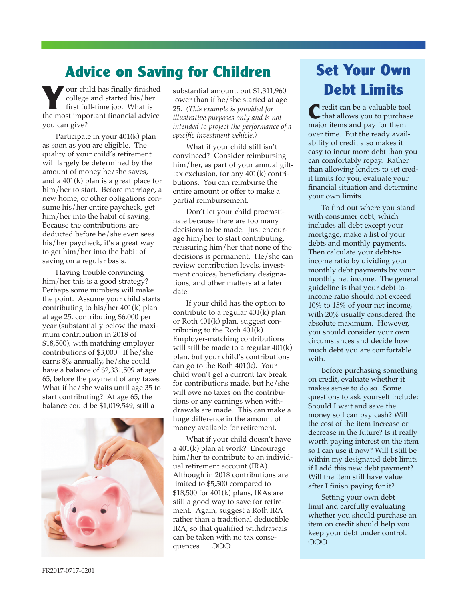## **Advice on Saving for Children**

**Y**our child has finally finished college and started his/her first full-time job. What is the most important financial advice you can give?

Participate in your 401(k) plan as soon as you are eligible. The quality of your child's retirement will largely be determined by the amount of money he/she saves, and a 401(k) plan is a great place for him/her to start. Before marriage, a new home, or other obligations consume his/her entire paycheck, get him/her into the habit of saving. Because the contributions are deducted before he/she even sees his/her paycheck, it's a great way to get him/her into the habit of saving on a regular basis.

Having trouble convincing him/her this is a good strategy? Perhaps some numbers will make the point. Assume your child starts contributing to his/her 401(k) plan at age 25, contributing \$6,000 per year (substantially below the maximum contribution in 2018 of \$18,500), with matching employer contributions of \$3,000. If he/she earns 8% annually, he/she could have a balance of \$2,331,509 at age 65, before the payment of any taxes. What if he/she waits until age 35 to start contributing? At age 65, the balance could be \$1,019,549, still a



substantial amount, but \$1,311,960 lower than if he/she started at age 25. *(This example is provided for illustrative purposes only and is not intended to project the performance of a specific investment vehicle.)*

What if your child still isn't convinced? Consider reimbursing him/her, as part of your annual gifttax exclusion, for any 401(k) contributions. You can reimburse the entire amount or offer to make a partial reimbursement.

Don't let your child procrastinate because there are too many decisions to be made. Just encourage him/her to start contributing, reassuring him/her that none of the decisions is permanent. He/she can review contribution levels, investment choices, beneficiary designations, and other matters at a later date.

If your child has the option to contribute to a regular 401(k) plan or Roth 401(k) plan, suggest contributing to the Roth 401(k). Employer-matching contributions will still be made to a regular 401(k) plan, but your child's contributions can go to the Roth 401(k). Your child won't get a current tax break for contributions made, but he/she will owe no taxes on the contributions or any earnings when withdrawals are made. This can make a huge difference in the amount of money available for retirement.

What if your child doesn't have a 401(k) plan at work? Encourage him/her to contribute to an individual retirement account (IRA). Although in 2018 contributions are limited to \$5,500 compared to \$18,500 for 401(k) plans, IRAs are still a good way to save for retirement. Again, suggest a Roth IRA rather than a traditional deductible IRA, so that qualified withdrawals can be taken with no tax consequences. OOO

## **Set Your Own Debt Limits**

C redit can be a valuable tool<br>that allows you to purchase major items and pay for them over time. But the ready availability of credit also makes it easy to incur more debt than you can comfortably repay. Rather than allowing lenders to set credit limits for you, evaluate your financial situation and determine your own limits.

To find out where you stand with consumer debt, which includes all debt except your mortgage, make a list of your debts and monthly payments. Then calculate your debt-toincome ratio by dividing your monthly debt payments by your monthly net income. The general guideline is that your debt-toincome ratio should not exceed 10% to 15% of your net income, with 20% usually considered the absolute maximum. However, you should consider your own circumstances and decide how much debt you are comfortable with.

Before purchasing something on credit, evaluate whether it makes sense to do so. Some questions to ask yourself include: Should I wait and save the money so I can pay cash? Will the cost of the item increase or decrease in the future? Is it really worth paying interest on the item so I can use it now? Will I still be within my designated debt limits if I add this new debt payment? Will the item still have value after I finish paying for it?

Setting your own debt limit and carefully evaluating whether you should purchase an item on credit should help you keep your debt under control. OOO